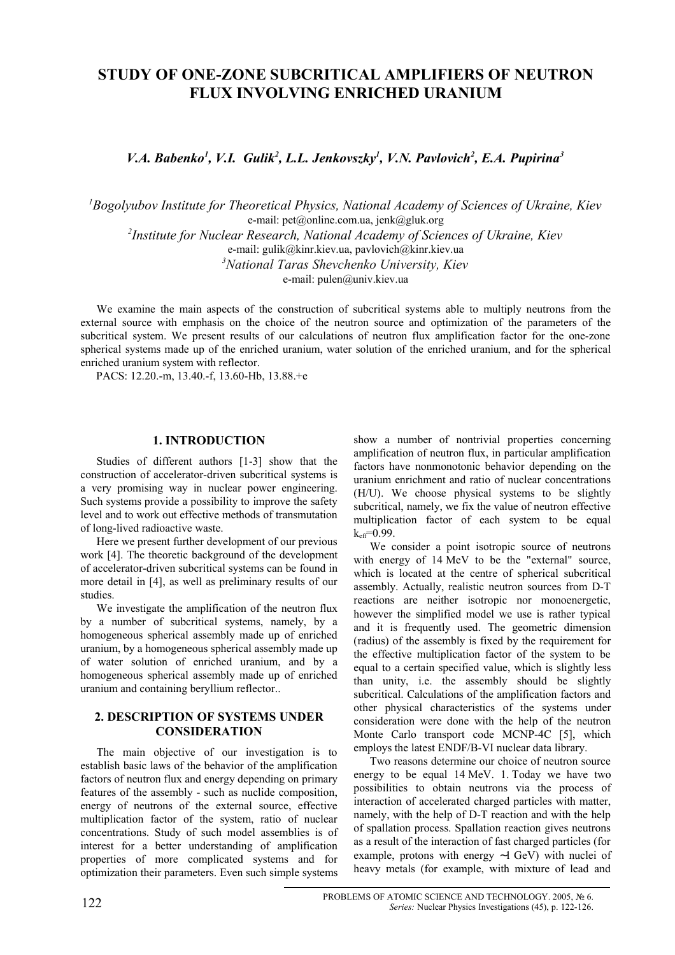# **STUDY OF ONE-ZONE SUBCRITICAL AMPLIFIERS OF NEUTRON FLUX INVOLVING ENRICHED URANIUM**

*V.A.* Babenko<sup>1</sup>, V.I. Gulik<sup>2</sup>, L.L. Jenkovszky<sup>1</sup>, V.N. Pavlovich<sup>2</sup>, E.A. Pupirina<sup>3</sup>

*<sup>1</sup>Bogolyubov Institute for Theoretical Physics, National Academy of Sciences of Ukraine, Kiev* e-mail: pet@online.com.ua, jenk@gluk.org *2 Institute for Nuclear Research, National Academy of Sciences of Ukraine, Kiev* e-mail: gulik@kinr.kiev.ua, pavlovich@kinr.kiev.ua

*<sup>3</sup>National Taras Shevchenko University, Kiev*

e-mail: pulen@univ.kiev.ua

We examine the main aspects of the construction of subcritical systems able to multiply neutrons from the external source with emphasis on the choice of the neutron source and optimization of the parameters of the subcritical system. We present results of our calculations of neutron flux amplification factor for the one-zone spherical systems made up of the enriched uranium, water solution of the enriched uranium, and for the spherical enriched uranium system with reflector.

PACS: 12.20.-m, 13.40.-f, 13.60-Hb, 13.88.+e

# **1. INTRODUCTION**

Studies of different authors [1-3] show that the construction of accelerator-driven subcritical systems is a very promising way in nuclear power engineering. Such systems provide a possibility to improve the safety level and to work out effective methods of transmutation of long-lived radioactive waste.

Here we present further development of our previous work [4]. The theoretic background of the development of accelerator-driven subcritical systems can be found in more detail in [4], as well as preliminary results of our studies.

We investigate the amplification of the neutron flux by a number of subcritical systems, namely, by a homogeneous spherical assembly made up of enriched uranium, by a homogeneous spherical assembly made up of water solution of enriched uranium, and by a homogeneous spherical assembly made up of enriched uranium and containing beryllium reflector..

# **2. DESCRIPTION OF SYSTEMS UNDER CONSIDERATION**

The main objective of our investigation is to establish basic laws of the behavior of the amplification factors of neutron flux and energy depending on primary features of the assembly - such as nuclide composition, energy of neutrons of the external source, effective multiplication factor of the system, ratio of nuclear concentrations. Study of such model assemblies is of interest for a better understanding of amplification properties of more complicated systems and for optimization their parameters. Even such simple systems show a number of nontrivial properties concerning amplification of neutron flux, in particular amplification factors have nonmonotonic behavior depending on the uranium enrichment and ratio of nuclear concentrations (H/U). We choose physical systems to be slightly subcritical, namely, we fix the value of neutron effective multiplication factor of each system to be equal  $k<sub>eff</sub>=0.99$ .

We consider a point isotropic source of neutrons with energy of 14 MeV to be the "external" source, which is located at the centre of spherical subcritical assembly. Actually, realistic neutron sources from D-T reactions are neither isotropic nor monoenergetic, however the simplified model we use is rather typical and it is frequently used. The geometric dimension (radius) of the assembly is fixed by the requirement for the effective multiplication factor of the system to be equal to a certain specified value, which is slightly less than unity, i.e. the assembly should be slightly subcritical. Calculations of the amplification factors and other physical characteristics of the systems under consideration were done with the help of the neutron Monte Carlo transport code MCNP-4C [5], which employs the latest ENDF/B-VI nuclear data library.

Two reasons determine our choice of neutron source energy to be equal 14 MeV. 1. Today we have two possibilities to obtain neutrons via the process of interaction of accelerated charged particles with matter, namely, with the help of D-T reaction and with the help of spallation process. Spallation reaction gives neutrons as a result of the interaction of fast charged particles (for example, protons with energy ∼1 GeV) with nuclei of heavy metals (for example, with mixture of lead and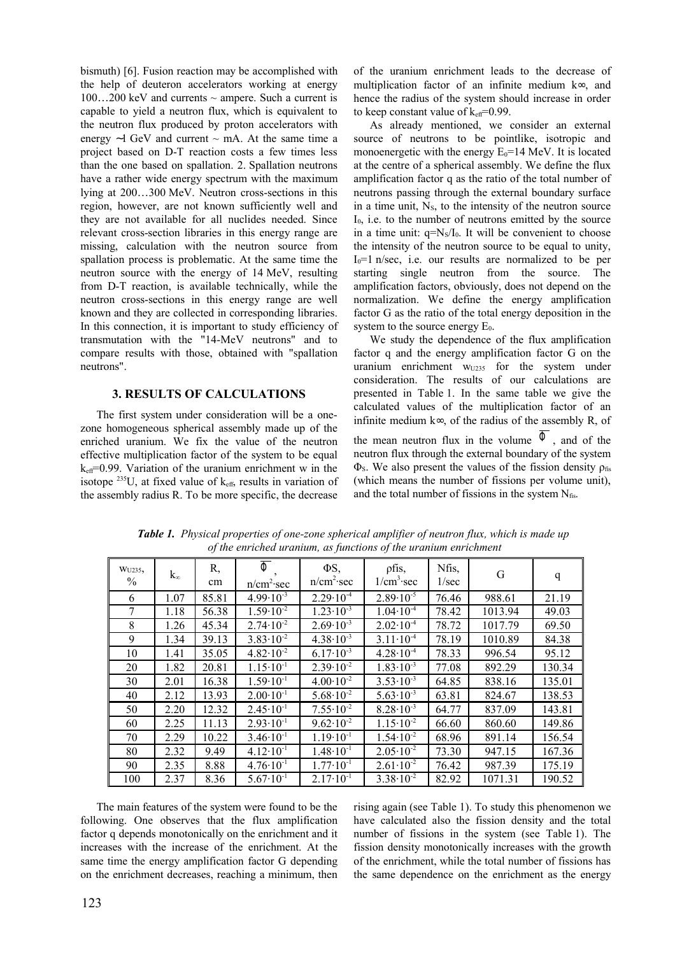bismuth) [6]. Fusion reaction may be accomplished with the help of deuteron accelerators working at energy  $100...200$  keV and currents  $\sim$  ampere. Such a current is capable to yield a neutron flux, which is equivalent to the neutron flux produced by proton accelerators with energy  $~1$  GeV and current  $~$  mA. At the same time a project based on D-T reaction costs a few times less than the one based on spallation. 2. Spallation neutrons have a rather wide energy spectrum with the maximum lying at 200…300 MeV. Neutron cross-sections in this region, however, are not known sufficiently well and they are not available for all nuclides needed. Since relevant cross-section libraries in this energy range are missing, calculation with the neutron source from spallation process is problematic. At the same time the neutron source with the energy of 14 MeV, resulting from D-T reaction, is available technically, while the neutron cross-sections in this energy range are well known and they are collected in corresponding libraries. In this connection, it is important to study efficiency of transmutation with the "14-MeV neutrons" and to compare results with those, obtained with "spallation neutrons".

### **3. RESULTS OF CALCULATIONS**

The first system under consideration will be a onezone homogeneous spherical assembly made up of the enriched uranium. We fix the value of the neutron effective multiplication factor of the system to be equal  $k_{\text{eff}}$ =0.99. Variation of the uranium enrichment w in the isotope  $^{235}$ U, at fixed value of  $k_{eff}$ , results in variation of the assembly radius R. To be more specific, the decrease

of the uranium enrichment leads to the decrease of multiplication factor of an infinite medium k∞, and hence the radius of the system should increase in order to keep constant value of  $k_{\text{eff}}$ =0.99.

As already mentioned, we consider an external source of neutrons to be pointlike, isotropic and monoenergetic with the energy  $E_0=14$  MeV. It is located at the centre of a spherical assembly. We define the flux amplification factor q as the ratio of the total number of neutrons passing through the external boundary surface in a time unit,  $N<sub>s</sub>$ , to the intensity of the neutron source  $I_0$ , i.e. to the number of neutrons emitted by the source in a time unit:  $q=N<sub>S</sub>/I<sub>0</sub>$ . It will be convenient to choose the intensity of the neutron source to be equal to unity,  $I_0=1$  n/sec, i.e. our results are normalized to be per starting single neutron from the source. The amplification factors, obviously, does not depend on the normalization. We define the energy amplification factor G as the ratio of the total energy deposition in the system to the source energy  $E_0$ .

We study the dependence of the flux amplification factor q and the energy amplification factor G on the uranium enrichment  $w_{U235}$  for the system under consideration. The results of our calculations are presented in Table 1. In the same table we give the calculated values of the multiplication factor of an infinite medium k∞, of the radius of the assembly R, of the mean neutron flux in the volume  $\overline{\Phi}$ , and of the neutron flux through the external boundary of the system  $\Phi$ <sub>S</sub>. We also present the values of the fission density  $\rho$ <sub>fis</sub> (which means the number of fissions per volume unit), and the total number of fissions in the system  $N_{\text{fis}}$ .

| W <sub>U235</sub> ,<br>$\%$ | $k_{\infty}$ | R,<br>cm | $\overline{\Phi}$<br>n/cm <sup>2</sup> sec | $\Phi S$ ,<br>n/cm <sup>2</sup> sec | pfis,<br>$1/cm^3$ sec | Nfis,<br>1/sec | G       | q      |
|-----------------------------|--------------|----------|--------------------------------------------|-------------------------------------|-----------------------|----------------|---------|--------|
| 6                           | 1.07         | 85.81    | $4.99 \cdot 10^{-3}$                       | $2.29 \cdot 10^{-4}$                | $2.89 \cdot 10^{-5}$  | 76.46          | 988.61  | 21.19  |
| 7                           | 1.18         | 56.38    | $1.59 \cdot 10^{-2}$                       | $1.23 \cdot 10^{-3}$                | $1.04 \cdot 10^{-4}$  | 78.42          | 1013.94 | 49.03  |
| 8                           | 1.26         | 45.34    | $2.74 \cdot 10^{-2}$                       | $2.69 \cdot 10^{-3}$                | $2.02 \cdot 10^{-4}$  | 78.72          | 1017.79 | 69.50  |
| 9                           | 1.34         | 39.13    | $3.83 \cdot 10^{-2}$                       | $4.38 \cdot 10^{-3}$                | $3.11 \cdot 10^{-4}$  | 78.19          | 1010.89 | 84.38  |
| 10                          | 1.41         | 35.05    | $4.82 \cdot 10^{-2}$                       | $6.17 \cdot 10^{-3}$                | $4.28 \cdot 10^{-4}$  | 78.33          | 996.54  | 95.12  |
| 20                          | 1.82         | 20.81    | $1.15 \cdot 10^{-1}$                       | $2.39 \cdot 10^{-2}$                | $1.83 \cdot 10^{-3}$  | 77.08          | 892.29  | 130.34 |
| 30                          | 2.01         | 16.38    | $1.59 \cdot 10^{-1}$                       | $4.00 \cdot 10^{-2}$                | $3.53 \cdot 10^{-3}$  | 64.85          | 838.16  | 135.01 |
| 40                          | 2.12         | 13.93    | $2.00 \cdot 10^{-1}$                       | $5.68 \cdot 10^{-2}$                | $5.63 \cdot 10^{-3}$  | 63.81          | 824.67  | 138.53 |
| 50                          | 2.20         | 12.32    | $2.45 \cdot 10^{-1}$                       | $7.55 \cdot 10^{-2}$                | $8.28 \cdot 10^{-3}$  | 64.77          | 837.09  | 143.81 |
| 60                          | 2.25         | 11.13    | $2.93 \cdot 10^{-1}$                       | $9.62 \cdot 10^{-2}$                | $1.15 \cdot 10^{-2}$  | 66.60          | 860.60  | 149.86 |
| 70                          | 2.29         | 10.22    | $3.46 \cdot 10^{-1}$                       | $1.19 \cdot 10^{-1}$                | $1.54 \cdot 10^{-2}$  | 68.96          | 891.14  | 156.54 |
| 80                          | 2.32         | 9.49     | $4.12 \cdot 10^{-1}$                       | $1.48 \cdot 10^{-1}$                | $2.05 \cdot 10^{-2}$  | 73.30          | 947.15  | 167.36 |
| 90                          | 2.35         | 8.88     | $4.76 \cdot 10^{-1}$                       | $1.77 \cdot 10^{-1}$                | $2.61 \cdot 10^{-2}$  | 76.42          | 987.39  | 175.19 |
| 100                         | 2.37         | 8.36     | $5.67 \cdot 10^{-1}$                       | $2.17 \cdot 10^{-1}$                | $3.38 \cdot 10^{-2}$  | 82.92          | 1071.31 | 190.52 |

*Table 1. Physical properties of one-zone spherical amplifier of neutron flux, which is made up of the enriched uranium, as functions of the uranium enrichment*

The main features of the system were found to be the following. One observes that the flux amplification factor q depends monotonically on the enrichment and it increases with the increase of the enrichment. At the same time the energy amplification factor G depending on the enrichment decreases, reaching a minimum, then rising again (see Table 1). To study this phenomenon we have calculated also the fission density and the total number of fissions in the system (see Table 1). The fission density monotonically increases with the growth of the enrichment, while the total number of fissions has the same dependence on the enrichment as the energy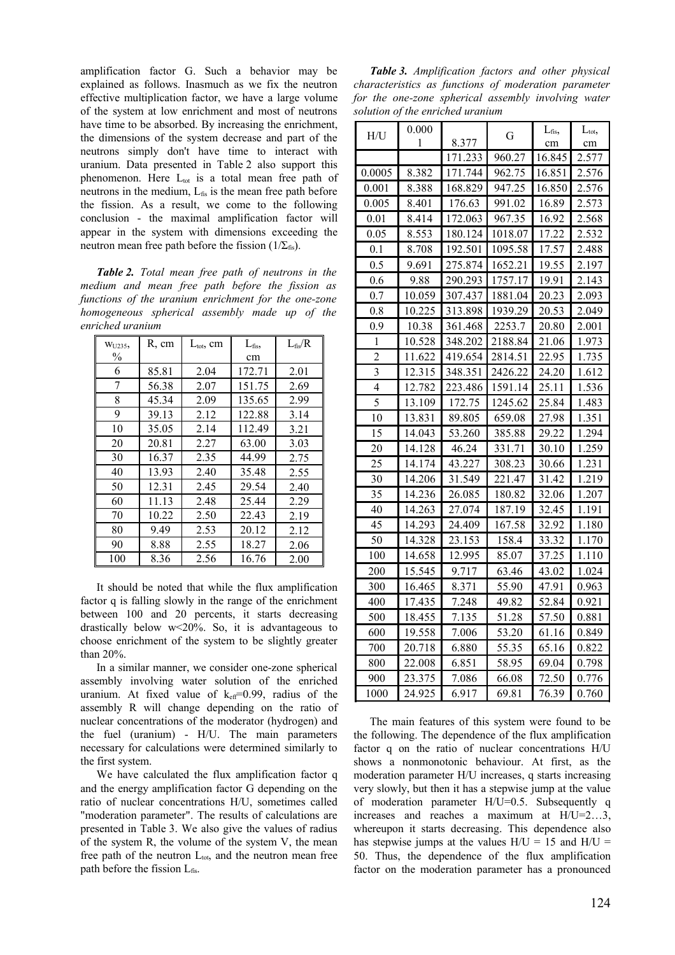amplification factor G. Such a behavior may be explained as follows. Inasmuch as we fix the neutron effective multiplication factor, we have a large volume of the system at low enrichment and most of neutrons have time to be absorbed. By increasing the enrichment, the dimensions of the system decrease and part of the neutrons simply don't have time to interact with uranium. Data presented in Table 2 also support this phenomenon. Here  $L_{tot}$  is a total mean free path of neutrons in the medium,  $L_{fis}$  is the mean free path before the fission. As a result, we come to the following conclusion - the maximal amplification factor will appear in the system with dimensions exceeding the neutron mean free path before the fission ( $1/\Sigma_{fs}$ ).

*Table 2. Total mean free path of neutrons in the medium and mean free path before the fission as functions of the uranium enrichment for the one-zone homogeneous spherical assembly made up of the enriched uranium*

| WU235, | R, cm | $L_{\text{tot}}$ , cm | $L_{\text{fis}}$ | $L_{\rm fis}/R$ |
|--------|-------|-----------------------|------------------|-----------------|
| $\%$   |       |                       | cm               |                 |
| 6      | 85.81 | 2.04                  | 172.71           | 2.01            |
| 7      | 56.38 | 2.07                  | 151.75           | 2.69            |
| 8      | 45.34 | 2.09                  | 135.65           | 2.99            |
| 9      | 39.13 | 2.12                  | 122.88           | 3.14            |
| 10     | 35.05 | 2.14                  | 112.49           | 3.21            |
| 20     | 20.81 | 2.27                  | 63.00            | 3.03            |
| 30     | 16.37 | 2.35                  | 44.99            | 2.75            |
| 40     | 13.93 | 2.40                  | 35.48            | 2.55            |
| 50     | 12.31 | 2.45                  | 29.54            | 2.40            |
| 60     | 11.13 | 2.48                  | 25.44            | 2.29            |
| 70     | 10.22 | 2.50                  | 22.43            | 2.19            |
| 80     | 9.49  | 2.53                  | 20.12            | 2.12            |
| 90     | 8.88  | 2.55                  | 18.27            | 2.06            |
| 100    | 8.36  | 2.56                  | 16.76            | 2.00            |

It should be noted that while the flux amplification factor q is falling slowly in the range of the enrichment between 100 and 20 percents, it starts decreasing drastically below w<20%. So, it is advantageous to choose enrichment of the system to be slightly greater than 20%.

In a similar manner, we consider one-zone spherical assembly involving water solution of the enriched uranium. At fixed value of  $k_{\text{eff}}=0.99$ , radius of the assembly R will change depending on the ratio of nuclear concentrations of the moderator (hydrogen) and the fuel (uranium) - H/U. The main parameters necessary for calculations were determined similarly to the first system.

We have calculated the flux amplification factor q and the energy amplification factor G depending on the ratio of nuclear concentrations H/U, sometimes called "moderation parameter". The results of calculations are presented in Table 3. We also give the values of radius of the system R, the volume of the system V, the mean free path of the neutron  $L_{\text{tot}}$ , and the neutron mean free path before the fission  $L_{\text{fis}}$ .

*Table 3. Amplification factors and other physical characteristics as functions of moderation parameter for the one-zone spherical assembly involving water solution of the enriched uranium*

|                | 0.000  |         |         |                        | $L_{\text{tot}}$ |
|----------------|--------|---------|---------|------------------------|------------------|
| H/U            | 1      | 8.377   | G       | $L_{\text{fis}}$<br>cm | cm               |
|                |        | 171.233 | 960.27  | 16.845                 | 2.577            |
| 0.0005         | 8.382  | 171.744 | 962.75  | 16.851                 | 2.576            |
| 0.001          | 8.388  | 168.829 | 947.25  | 16.850                 | 2.576            |
| 0.005          | 8.401  | 176.63  | 991.02  | 16.89                  | 2.573            |
| 0.01           | 8.414  | 172.063 | 967.35  | 16.92                  | 2.568            |
| 0.05           | 8.553  | 180.124 | 1018.07 | 17.22                  | 2.532            |
| 0.1            | 8.708  | 192.501 | 1095.58 | 17.57                  | 2.488            |
| 0.5            | 9.691  | 275.874 | 1652.21 | 19.55                  | 2.197            |
| 0.6            | 9.88   | 290.293 | 1757.17 | 19.91                  | 2.143            |
| 0.7            | 10.059 | 307.437 | 1881.04 | 20.23                  | 2.093            |
| 0.8            | 10.225 | 313.898 | 1939.29 | 20.53                  | 2.049            |
| 0.9            | 10.38  | 361.468 | 2253.7  | 20.80                  | 2.001            |
| $\mathbf{1}$   | 10.528 | 348.202 | 2188.84 | 21.06                  | 1.973            |
| $\overline{2}$ | 11.622 | 419.654 | 2814.51 | 22.95                  | 1.735            |
| 3              | 12.315 | 348.351 | 2426.22 | 24.20                  | 1.612            |
| 4              | 12.782 | 223.486 | 1591.14 | 25.11                  | 1.536            |
| 5              | 13.109 | 172.75  | 1245.62 | 25.84                  | 1.483            |
| 10             | 13.831 | 89.805  | 659.08  | 27.98                  | 1.351            |
| 15             | 14.043 | 53.260  | 385.88  | 29.22                  | 1.294            |
| 20             | 14.128 | 46.24   | 331.71  | 30.10                  | 1.259            |
| 25             | 14.174 | 43.227  | 308.23  | 30.66                  | 1.231            |
| 30             | 14.206 | 31.549  | 221.47  | 31.42                  | 1.219            |
| 35             | 14.236 | 26.085  | 180.82  | 32.06                  | 1.207            |
| 40             | 14.263 | 27.074  | 187.19  | 32.45                  | 1.191            |
| 45             | 14.293 | 24.409  | 167.58  | 32.92                  | 1.180            |
| 50             | 14.328 | 23.153  | 158.4   | 33.32                  | 1.170            |
| 100            | 14.658 | 12.995  | 85.07   | 37.25                  | 1.110            |
| 200            | 15.545 | 9.717   | 63.46   | 43.02                  | 1.024            |
| 300            | 16.465 | 8.371   | 55.90   | 47.91                  | 0.963            |
| 400            | 17.435 | 7.248   | 49.82   | 52.84                  | 0.921            |
| 500            | 18.455 | 7.135   | 51.28   | 57.50                  | 0.881            |
| 600            | 19.558 | 7.006   | 53.20   | 61.16                  | 0.849            |
| 700            | 20.718 | 6.880   | 55.35   | 65.16                  | 0.822            |
| 800            | 22.008 | 6.851   | 58.95   | 69.04                  | 0.798            |
| 900            | 23.375 | 7.086   | 66.08   | 72.50                  | 0.776            |
| 1000           | 24.925 | 6.917   | 69.81   | 76.39                  | 0.760            |

The main features of this system were found to be the following. The dependence of the flux amplification factor q on the ratio of nuclear concentrations H/U shows a nonmonotonic behaviour. At first, as the moderation parameter H/U increases, q starts increasing very slowly, but then it has a stepwise jump at the value of moderation parameter H/U=0.5. Subsequently q increases and reaches a maximum at H/U=2…3, whereupon it starts decreasing. This dependence also has stepwise jumps at the values  $H/U = 15$  and  $H/U =$ 50. Thus, the dependence of the flux amplification factor on the moderation parameter has a pronounced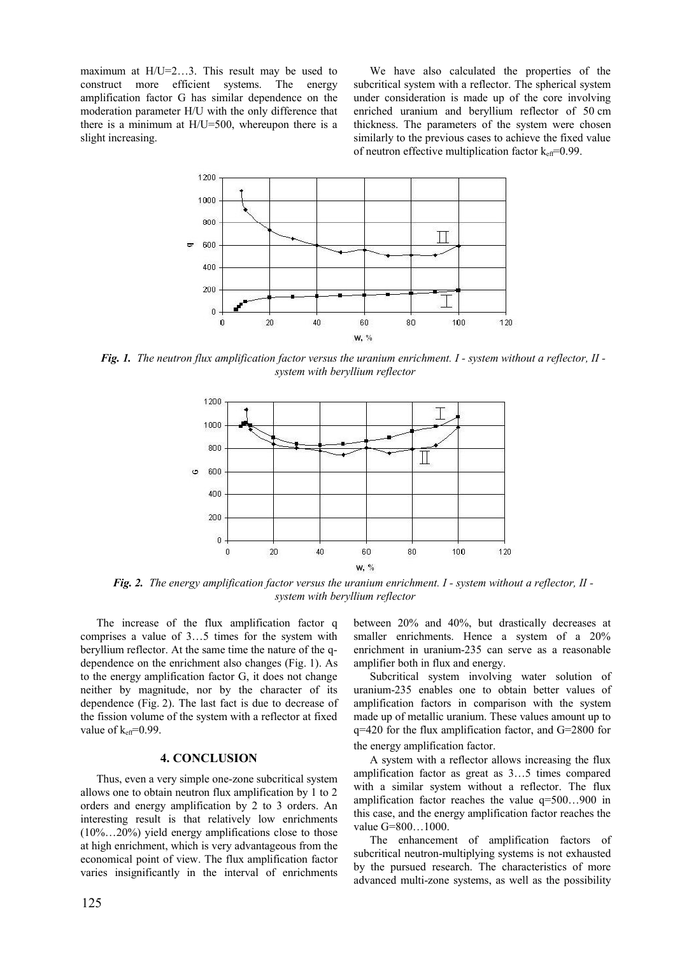maximum at H/U=2…3. This result may be used to construct more efficient systems. The energy amplification factor G has similar dependence on the moderation parameter H/U with the only difference that there is a minimum at H/U=500, whereupon there is a slight increasing.

We have also calculated the properties of the subcritical system with a reflector. The spherical system under consideration is made up of the core involving enriched uranium and beryllium reflector of 50 cm thickness. The parameters of the system were chosen similarly to the previous cases to achieve the fixed value of neutron effective multiplication factor  $k_{\text{eff}}$ =0.99.



*Fig. 1. The neutron flux amplification factor versus the uranium enrichment. I - system without a reflector, II system with beryllium reflector*



*Fig. 2. The energy amplification factor versus the uranium enrichment. I - system without a reflector, II system with beryllium reflector*

The increase of the flux amplification factor q comprises a value of 3…5 times for the system with beryllium reflector. At the same time the nature of the qdependence on the enrichment also changes (Fig. 1). As to the energy amplification factor G, it does not change neither by magnitude, nor by the character of its dependence (Fig. 2). The last fact is due to decrease of the fission volume of the system with a reflector at fixed value of  $k_{\text{eff}}$ =0.99.

### **4. CONCLUSION**

Thus, even a very simple one-zone subcritical system allows one to obtain neutron flux amplification by 1 to 2 orders and energy amplification by 2 to 3 orders. An interesting result is that relatively low enrichments  $(10\%...20\%)$  yield energy amplifications close to those at high enrichment, which is very advantageous from the economical point of view. The flux amplification factor varies insignificantly in the interval of enrichments between 20% and 40%, but drastically decreases at smaller enrichments. Hence a system of a 20% enrichment in uranium-235 can serve as a reasonable amplifier both in flux and energy.

Subcritical system involving water solution of uranium-235 enables one to obtain better values of amplification factors in comparison with the system made up of metallic uranium. These values amount up to q=420 for the flux amplification factor, and G=2800 for the energy amplification factor.

A system with a reflector allows increasing the flux amplification factor as great as 3…5 times compared with a similar system without a reflector. The flux amplification factor reaches the value q=500…900 in this case, and the energy amplification factor reaches the value G=800…1000.

The enhancement of amplification factors of subcritical neutron-multiplying systems is not exhausted by the pursued research. The characteristics of more advanced multi-zone systems, as well as the possibility